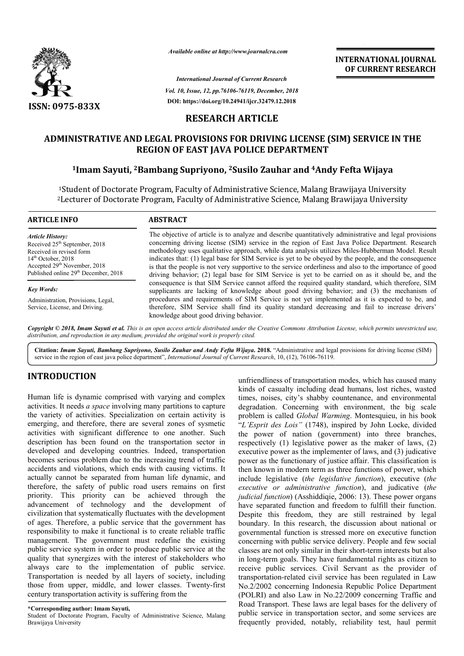

*Available online at http://www.journalcra.com*

**INTERNATIONAL JOURNAL OF CURRENT RESEARCH**

*Vol. 10, Issue, 12, pp.76106-76119, December, 2018* **DOI: https://doi.org/10.24941/ijcr.32479.12.2018** *International Journal of Current Research*

# **RESEARCH ARTICLE**

# **ADMINISTRATIVE AND LEGAL PROVISIONS FOR DRIVING LICENSE (SIM) SERVICE IN THE REGION OF EAST JAVA POLICE DEPARTMENT IISTRATIVE AND LEGAL PROVISIONS FOR DRIVING LICENSE (SIM) SERVICE |<br>REGION OF EAST JAVA POLICE DEPARTMENT<br><sup>1</sup>Imam Sayuti, <sup>2</sup>Bambang Supriyono, <sup>2</sup>Susilo Zauhar and <sup>4</sup>Andy Fefta Wijaya**

<sup>1</sup>Student of Doctorate Program, Faculty of Administrative Science, Malang Brawijaya University<br><sup>2</sup>Lecturer of Doctorate Program, Faculty of Administrative Science, Malang Brawijaya University 2Lecturer of Doctorate Program, Faculty of Administrative Science, Malang Brawijaya Univer

| <b>ARTICLE INFO</b>                              | <b>ABSTRACT</b>                                                                                                                                                                                 |
|--------------------------------------------------|-------------------------------------------------------------------------------------------------------------------------------------------------------------------------------------------------|
| <b>Article History:</b>                          | The objective of article is to analyze and describe quantitatively administrative and legal provisions                                                                                          |
| Received 25 <sup>th</sup> September, 2018        | concerning driving license (SIM) service in the region of East Java Police Department. Research                                                                                                 |
| Received in revised form                         | methodology uses qualitative approach, while data analysis utilizes Miles-Hubberman Model. Result                                                                                               |
| $14th$ October, 2018                             | indicates that: (1) legal base for SIM Service is yet to be obeyed by the people, and the consequence                                                                                           |
| Accepted 29 <sup>th</sup> November, 2018         | is that the people is not very supportive to the service orderliness and also to the importance of good                                                                                         |
| Published online 29 <sup>th</sup> December, 2018 | driving behavior; (2) legal base for SIM Service is yet to be carried on as it should be, and the                                                                                               |
| <b>Key Words:</b>                                | consequence is that SIM Service cannot afford the required quality standard, which therefore, SIM<br>supplicants are lacking of knowledge about good driving behavior; and (3) the mechanism of |
| Administration, Provisions, Legal,               | procedures and requirements of SIM Service is not yet implemented as it is expected to be, and                                                                                                  |
| Service, License, and Driving.                   | therefore, SIM Service shall find its quality standard decreasing and fail to increase drivers'                                                                                                 |

Copyright © 2018, Imam Sayuti et al. This is an open access article distributed under the Creative Commons Attribution License, which permits unrestricted use, *distribution, and reproduction in any medium, provided the original work is properly cited.*

knowledge about good driving behavior.

Citation: *Imam Sayuti, Bambang Supriyono, Susilo Zauhar and Andy Fefta Wijaya. 2018. "Administrative and legal provisions for driving license (SIM)* service in the region of east java police department", *International Journal of Current Research* , 10, (12), 76106-76119.

# **INTRODUCTION**

Human life is dynamic comprised with varying and complex activities. It needs *a space* involving many partitions to capture the variety of activities. Specialization on certain activity is emerging, and therefore, there are several zones of sysmetic activities with significant difference to one another. Such description has been found on the transportation sector in developed and developing countries. Indeed, transportation becomes serious problem due to the increasing trend of traffic accidents and violations, which ends with causing victims. It actually cannot be separated from human life d dynamic, and therefore, the safety of public road users remains on first priority. This priority can be achieved through the advancement of technology and the development of civilization that systematically fluctuates with the development of ages. Therefore, a public service that the government has responsibility to make it functional is to create reliable traffic management. The government must redefine the existing public service system in order to produce public service at the quality that synergizes with the interest of stakeholders who always care to the implementation of public service. Transportation is needed by all layers of society, including those from upper, middle, and lower classes. Twenty-first century transportation activity is suffering from the , a public service that the government has<br>ake it functional is to create reliable traffic<br>government must redefine the existing<br>em in order to produce public service at the<br>gizes with the interest of stakeholders who<br>the

Student of Doctorate Program, Faculty of Administrative Science, Malang Brawijaya University

unfriendliness of transportation modes, which has caused many kinds of casualty including dead humans, lost riches, wasted times, noises, city's shabby countenance, and environmental degradation. Concerning with environment, the big scale problem is called *Global Warming* "L'Esprit des Lois" (1748), inspired by John Locke, divided the power of nation (government) into three branches, respectively (1) legislative power as the maker of laws, (2) executive power as the implementer of laws, and (3) judicative power as the functionary of justice affair. This classification is then known in modern term as three functions of power, which include legislative (*the legislative function executive or administrative function* ), and judicative (*the judicial function*) (Asshiddiqie, 2006: 13). These power organs have separated function and freedom to fulfill their function. Despite this freedom, they are still restrained by legal have separated function and freedom to fulfill their function.<br>Despite this freedom, they are still restrained by legal<br>boundary. In this research, the discussion about national or governmental function is stressed more on executive function concerning with public service delivery. People and few social classes are not only similar in their short in long-term goals. They have fundamental rights as citizen to receive public services. Civil Servant as the provider of transportation-related civil service has been regulated in Law No.2/2002 concerning Indonesia Republic Police Department (POLRI) and also Law in No.22/2009 concerning Traffic and Road Transport. These laws are legal bases for the delivery of public service in transportation sector, and some services are frequently provided, notably, reliability test, haul permit of casualty including dead humans, lost riches, wasted noises, city's shabby countenance, and environmental lation. Concerning with environment, the big scale m is called *Global Warming*. Montesquieu, in his book into three branches,<br>the maker of laws, (2)<br>laws, and (3) judicative power as the functionary of justice affair. This classification is then known in modern term as three functions of power, which include legislative *(the legislative function)*, executive *(the* is al function is stressed more on executive function<br>with public service delivery. People and few social<br>not only similar in their short-term interests but also **INTERNATIONAL JOURNAL EXECTS (CONTRESS)**<br> **CONTRESS (SIM)** SPRIVICE IN THE CONTRESS (SIM) APPROXIME INTERNATIONAL JOURNAL PROPOSE (SIM) SPRIVICE IN THE COLLECT DEPARTMENT USING A DAMAGE LICENSE (SIM) SERVICE IN THE COLLEC

**<sup>\*</sup>Corresponding author: Imam Sayuti,**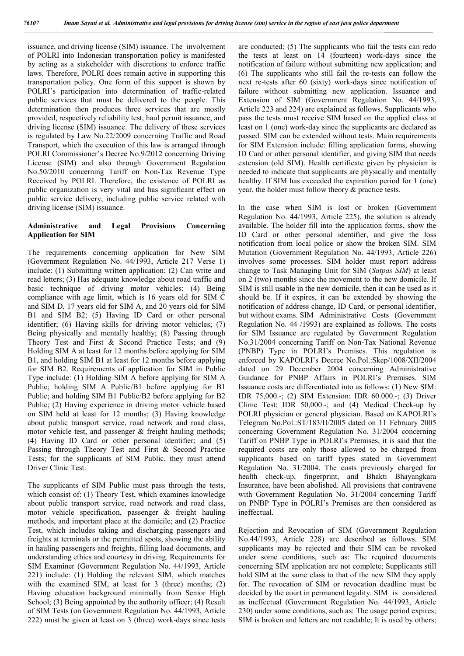issuance, and driving license (SIM) issuance. The involvement of POLRI into Indonesian transportation policy is manifested by acting as a stakeholder with discretions to enforce traffic laws. Therefore, POLRI does remain active in supporting this transportation policy. One form of this support is shown by POLRI's participation into determination of traffic-related public services that must be delivered to the people. This determination then produces three services that are mostly provided, respectively reliability test, haul permit issuance, and driving license (SIM) issuance. The delivery of these services is regulated by Law No.22/2009 concerning Traffic and Road Transport, which the execution of this law is arranged through POLRI Commissioner's Decree No.9/2012 concerning Driving License (SIM) and also through Government Regulation No.50/2010 concerning Tariff on Non-Tax Revenue Type Received by POLRI. Therefore, the existence of POLRI as public organization is very vital and has significant effect on public service delivery, including public service related with driving license (SIM) issuance.

#### **Administrative and Legal Provisions Concerning Application for SIM**

The requirements concerning application for New SIM (Government Regulation No. 44/1993, Article 217 Verse 1) include: (1) Submitting written application; (2) Can write and read letters; (3) Has adequate knowledge about road traffic and basic technique of driving motor vehicles; (4) Being compliance with age limit, which is 16 years old for SIM C and SIM D, 17 years old for SIM A, and 20 years old for SIM B1 and SIM B2; (5) Having ID Card or other personal identifier; (6) Having skills for driving motor vehicles; (7) Being physically and mentally healthy; (8) Passing through Theory Test and First & Second Practice Tests; and (9) Holding SIM A at least for 12 months before applying for SIM B1, and holding SIM B1 at least for 12 months before applying for SIM B2. Requirements of application for SIM in Public Type include: (1) Holding SIM A before applying for SIM A Public; holding SIM A Public/B1 before applying for B1 Public; and holding SIM B1 Public/B2 before applying for B2 Public; (2) Having experience in driving motor vehicle based on SIM held at least for 12 months; (3) Having knowledge about public transport service, road network and road class, motor vehicle test, and passenger & freight hauling methods; (4) Having ID Card or other personal identifier; and (5) Passing through Theory Test and First & Second Practice Tests; for the supplicants of SIM Public, they must attend Driver Clinic Test.

The supplicants of SIM Public must pass through the tests, which consist of: (1) Theory Test, which examines knowledge about public transport service, road network and road class, motor vehicle specification, passenger & freight hauling methods, and important place at the domicile; and (2) Practice Test, which includes taking and discharging passengers and freights at terminals or the permitted spots, showing the ability in hauling passengers and freights, filling load documents, and understanding ethics and courtesy in driving. Requirements for SIM Examiner (Government Regulation No. 44/1993, Article 221) include: (1) Holding the relevant SIM, which matches with the examined SIM, at least for 3 (three) months; (2) Having education background minimally from Senior High School; (3) Being appointed by the authority officer; (4) Result of SIM Tests (on Government Regulation No. 44/1993, Article 222) must be given at least on 3 (three) work-days since tests

are conducted; (5) The supplicants who fail the tests can redo the tests at least on 14 (fourteen) work-days since the notification of failure without submitting new application; and (6) The supplicants who still fail the re-tests can follow the next re-tests after 60 (sixty) work-days since notification of failure without submitting new application. Issuance and Extension of SIM (Government Regulation No. 44/1993, Article 223 and 224) are explained as follows. Supplicants who pass the tests must receive SIM based on the applied class at least on 1 (one) work-day since the supplicants are declared as passed. SIM can be extended without tests. Main requirements for SIM Extension include: filling application forms, showing ID Card or other personal identifier, and giving SIM that needs extension (old SIM). Health certificate given by physician is needed to indicate that supplicants are physically and mentally healthy. If SIM has exceeded the expiration period for 1 (one) year, the holder must follow theory & practice tests.

In the case when SIM is lost or broken (Government Regulation No. 44/1993, Article 225), the solution is already available. The holder fill into the application forms, show the ID Card or other personal identifier, and give the loss notification from local police or show the broken SIM. SIM Mutation (Government Regulation No. 44/1993, Article 226) involves some processes. SIM holder must report address change to Task Managing Unit for SIM (*Satpas SIM*) at least on 2 (two) months since the movement to the new domicile. If SIM is still usable in the new domicile, then it can be used as it should be. If it expires, it can be extended by showing the notification of address change, ID Card, or personal identifier, but without exams. SIM Administrative Costs (Government Regulation No. 44 /1993) are explained as follows. The costs for SIM Issuance are regulated by Government Regulation No.31/2004 concerning Tariff on Non-Tax National Revenue (PNBP) Type in POLRI's Premises. This regulation is enforced by KAPOLRI's Decree No.Pol.:Skep/1008/XII/2004 dated on 29 December 2004 concerning Administrative Guidance for PNBP Affairs in POLRI's Premises. SIM Issuance costs are differentiated into as follows: (1) New SIM: IDR 75,000.-; (2) SIM Extension: IDR 60.000.-; (3) Driver Clinic Test: IDR 50,000.-; and (4) Medical Check-up by POLRI physician or general physician. Based on KAPOLRI's Telegram No.Pol.:ST/183/II/2005 dated on 11 February 2005 concerning Government Regulation No. 31/2004 concerning Tariff on PNBP Type in POLRI's Premises, it is said that the required costs are only those allowed to be charged from supplicants based on tariff types stated in Government Regulation No. 31/2004. The costs previously charged for health check-up, fingerprint, and Bhakti Bhayangkara Insurance, have been abolished. All provisions that contravene with Government Regulation No. 31/2004 concerning Tariff on PNBP Type in POLRI's Premises are then considered as ineffectual.

Rejection and Revocation of SIM (Government Regulation No.44/1993, Article 228) are described as follows. SIM supplicants may be rejected and their SIM can be revoked under some conditions, such as: The required documents concerning SIM application are not complete; Supplicants still hold SIM at the same class to that of the new SIM they apply for. The revocation of SIM or revocation deadline must be decided by the court in permanent legality. SIM is considered as ineffectual (Government Regulation No. 44/1993, Article 230) under some conditions, such as: The usage period expires; SIM is broken and letters are not readable; It is used by others;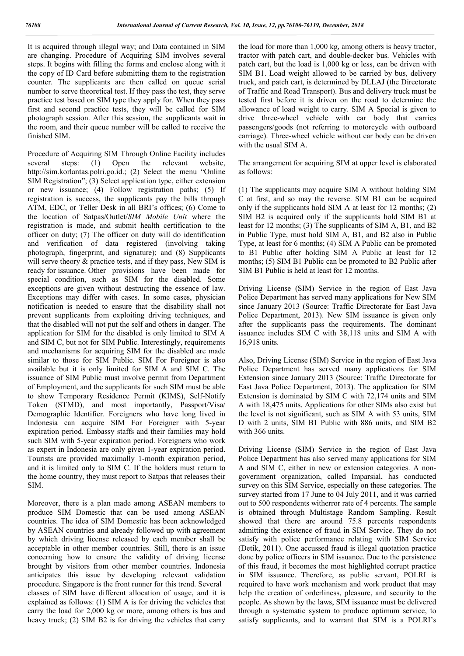It is acquired through illegal way; and Data contained in SIM are changing. Procedure of Acquiring SIM involves several steps. It begins with filling the forms and enclose along with it the copy of ID Card before submitting them to the registration counter. The supplicants are then called on queue serial number to serve theoretical test. If they pass the test, they serve practice test based on SIM type they apply for. When they pass first and second practice tests, they will be called for SIM photograph session. After this session, the supplicants wait in the room, and their queue number will be called to receive the finished SIM.

Procedure of Acquiring SIM Through Online Facility includes several steps: (1) Open the relevant website, http://sim.korlantas.polri.go.id.; (2) Select the menu "Online SIM Registration"; (3) Select application type, either extension or new issuance; (4) Follow registration paths; (5) If registration is success, the supplicants pay the bills through ATM, EDC, or Teller Desk in all BRI's offices; (6) Come to the location of Satpas/Outlet/*SIM Mobile Unit* where the registration is made, and submit health certification to the officer on duty; (7) The officer on duty will do identification and verification of data registered (involving taking photograph, fingerprint, and signature); and (8) Supplicants will serve theory & practice tests, and if they pass, New SIM is ready for issuance. Other provisions have been made for special condition, such as SIM for the disabled. Some exceptions are given without destructing the essence of law. Exceptions may differ with cases. In some cases, physician notification is needed to ensure that the disability shall not prevent supplicants from exploiting driving techniques, and that the disabled will not put the self and others in danger. The application for SIM for the disabled is only limited to SIM A and SIM C, but not for SIM Public. Interestingly, requirements and mechanisms for acquiring SIM for the disabled are made similar to those for SIM Public. SIM For Foreigner is also available but it is only limited for SIM A and SIM C. The issuance of SIM Public must involve permit from Department of Employment, and the supplicants for such SIM must be able to show Temporary Residence Permit (KIMS), Self-Notify Token (STMD), and most importantly, Passport/Visa/ Demographic Identifier. Foreigners who have long lived in Indonesia can acquire SIM For Foreigner with 5-year expiration period. Embassy staffs and their families may hold such SIM with 5-year expiration period. Foreigners who work as expert in Indonesia are only given 1-year expiration period. Tourists are provided maximally 1-month expiration period, and it is limited only to SIM C. If the holders must return to the home country, they must report to Satpas that releases their SIM.

Moreover, there is a plan made among ASEAN members to produce SIM Domestic that can be used among ASEAN countries. The idea of SIM Domestic has been acknowledged by ASEAN countries and already followed up with agreement by which driving license released by each member shall be acceptable in other member countries. Still, there is an issue concerning how to ensure the validity of driving license brought by visitors from other member countries. Indonesia anticipates this issue by developing relevant validation procedure. Singapore is the front runner for this trend. Several classes of SIM have different allocation of usage, and it is explained as follows: (1) SIM A is for driving the vehicles that carry the load for 2,000 kg or more, among others is bus and heavy truck; (2) SIM B2 is for driving the vehicles that carry

the load for more than 1,000 kg, among others is heavy tractor, tractor with patch cart, and double-decker bus. Vehicles with patch cart, but the load is 1,000 kg or less, can be driven with SIM B1. Load weight allowed to be carried by bus, delivery truck, and patch cart, is determined by DLLAJ (the Directorate of Traffic and Road Transport). Bus and delivery truck must be tested first before it is driven on the road to determine the allowance of load weight to carry. SIM A Special is given to drive three-wheel vehicle with car body that carries passengers/goods (not referring to motorcycle with outboard carriage). Three-wheel vehicle without car body can be driven with the usual SIM A.

The arrangement for acquiring SIM at upper level is elaborated as follows:

(1) The supplicants may acquire SIM A without holding SIM C at first, and so may the reverse. SIM B1 can be acquired only if the supplicants hold SIM A at least for 12 months; (2) SIM B2 is acquired only if the supplicants hold SIM B1 at least for 12 months; (3) The supplicants of SIM A, B1, and B2 in Public Type, must hold SIM A, B1, and B2 also in Public Type, at least for 6 months; (4) SIM A Public can be promoted to B1 Public after holding SIM A Public at least for 12 months; (5) SIM B1 Public can be promoted to B2 Public after SIM B1 Public is held at least for 12 months.

Driving License (SIM) Service in the region of East Java Police Department has served many applications for New SIM since January 2013 (Source: Traffic Directorate for East Java Police Department, 2013). New SIM issuance is given only after the supplicants pass the requirements. The dominant issuance includes SIM C with 38,118 units and SIM A with 16,918 units.

Also, Driving License (SIM) Service in the region of East Java Police Department has served many applications for SIM Extension since January 2013 (Source: Traffic Directorate for East Java Police Department, 2013). The application for SIM Extension is dominated by SIM C with 72,174 units and SIM A with 18,475 units. Applications for other SIMs also exist but the level is not significant, such as SIM A with 53 units, SIM D with 2 units, SIM B1 Public with 886 units, and SIM B2 with 366 units.

Driving License (SIM) Service in the region of East Java Police Department has also served many applications for SIM A and SIM C, either in new or extension categories. A nongovernment organization, called Imparsial, has conducted survey on this SIM Service, especially on these categories. The survey started from 17 June to 04 July 2011, and it was carried out to 500 respondents witherror rate of 4 percents. The sample is obtained through Multistage Random Sampling. Result showed that there are around 75.8 percents respondents admitting the existence of fraud in SIM Service. They do not satisfy with police performance relating with SIM Service (Detik, 2011). One accussed fraud is illegal quotation practice done by police officers in SIM issuance. Due to the persistence of this fraud, it becomes the most highlighted corrupt practice in SIM issuance. Therefore, as public servant, POLRI is required to have work mechanism and work product that may help the creation of orderliness, pleasure, and security to the people. As shown by the laws, SIM issuance must be delivered through a systematic system to produce optimum service, to satisfy supplicants, and to warrant that SIM is a POLRI's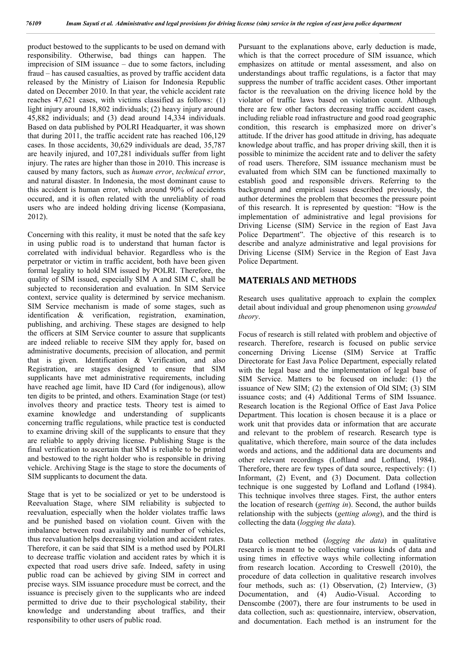product bestowed to the supplicants to be used on demand with responsibility. Otherwise, bad things can happen. The imprecision of SIM issuance – due to some factors, including fraud – has caused casualties, as proved by traffic accident data released by the Ministry of Liaison for Indonesia Republic dated on December 2010. In that year, the vehicle accident rate reaches 47,621 cases, with victims classified as follows: (1) light injury around 18,802 individuals; (2) heavy injury around 45,882 individuals; and (3) dead around 14,334 individuals. Based on data published by POLRI Headquarter, it was shown that during 2011, the traffic accident rate has reached 106,129 cases. In those accidents, 30,629 individuals are dead, 35,787 are heavily injured, and 107,281 individuals suffer from light injury. The rates are higher than those in 2010. This increase is caused by many factors, such as *human error*, *technical error*, and natural disaster. In Indonesia, the most dominant cause to this accident is human error, which around 90% of accidents occured, and it is often related with the unreliablity of road users who are indeed holding driving license (Kompasiana, 2012).

Concerning with this reality, it must be noted that the safe key in using public road is to understand that human factor is correlated with individual behavior. Regardless who is the perpetrator or victim in traffic accident, both have been given formal legality to hold SIM issued by POLRI. Therefore, the quality of SIM issued, especially SIM A and SIM C, shall be subjected to reconsideration and evaluation. In SIM Service context, service quality is determined by service mechanism. SIM Service mechanism is made of some stages, such as identification & verification, registration, examination, publishing, and archiving. These stages are designed to help the officers at SIM Service counter to assure that supplicants are indeed reliable to receive SIM they apply for, based on administrative documents, precision of allocation, and permit that is given. Identification & Verification, and also Registration, are stages designed to ensure that SIM supplicants have met administrative requirements, including have reached age limit, have ID Card (for indigenous), allow ten digits to be printed, and others. Examination Stage (or test) involves theory and practice tests. Theory test is aimed to examine knowledge and understanding of supplicants concerning traffic regulations, while practice test is conducted to examine driving skill of the supplicants to ensure that they are reliable to apply driving license. Publishing Stage is the final verification to ascertain that SIM is reliable to be printed and bestowed to the right holder who is responsible in driving vehicle. Archiving Stage is the stage to store the documents of SIM supplicants to document the data.

Stage that is yet to be socialized or yet to be understood is Reevaluation Stage, where SIM reliability is subjected to reevaluation, especially when the holder violates traffic laws and be punished based on violation count. Given with the imbalance between road availability and number of vehicles, thus reevaluation helps decreasing violation and accident rates. Therefore, it can be said that SIM is a method used by POLRI to decrease traffic violation and accident rates by which it is expected that road users drive safe. Indeed, safety in using public road can be achieved by giving SIM in correct and precise ways. SIM issuance procedure must be correct, and the issuance is precisely given to the supplicants who are indeed permitted to drive due to their psychological stability, their knowledge and understanding about traffics, and their responsibility to other users of public road.

Pursuant to the explanations above, early deduction is made, which is that the correct procedure of SIM issuance, which emphasizes on attitude or mental assessment, and also on understandings about traffic regulations, is a factor that may suppress the number of traffic accident cases. Other important factor is the reevaluation on the driving licence hold by the violator of traffic laws based on violation count. Although there are few other factors decreasing traffic accident cases, including reliable road infrastructure and good road geographic condition, this research is emphasized more on driver's attitude. If the driver has good attitude in driving, has adequate knowledge about traffic, and has proper driving skill, then it is possible to minimize the accident rate and to deliver the safety of road users. Therefore, SIM issuance mechanism must be evaluated from which SIM can be functioned maximally to establish good and responsible drivers. Referring to the background and empirical issues described previously, the author determines the problem that becomes the pressure point of this research. It is represented by question: "How is the implementation of administrative and legal provisions for Driving License (SIM) Service in the region of East Java Police Department". The objective of this research is to describe and analyze administrative and legal provisions for Driving License (SIM) Service in the Region of East Java Police Department.

# **MATERIALS AND METHODS**

Research uses qualitative approach to explain the complex detail about individual and group phenomenon using *grounded theory*.

Focus of research is still related with problem and objective of research. Therefore, research is focused on public service concerning Driving License (SIM) Service at Traffic Directorate for East Java Police Department, especially related with the legal base and the implementation of legal base of SIM Service. Matters to be focused on include: (1) the issuance of New SIM; (2) the extension of Old SIM; (3) SIM issuance costs; and (4) Additional Terms of SIM Issuance. Research location is the Regional Office of East Java Police Department. This location is chosen because it is a place or work unit that provides data or information that are accurate and relevant to the problem of research. Research type is qualitative, which therefore, main source of the data includes words and actions, and the additional data are documents and other relevant recordings (Loftland and Loftland, 1984). Therefore, there are few types of data source, respectively: (1) Informant, (2) Event, and (3) Document. Data collection technique is one suggested by Lofland and Lofland (1984). This technique involves three stages. First, the author enters the location of research (*getting in*). Second, the author builds relationship with the subjects (*getting along*), and the third is collecting the data (*logging the data*).

Data collection method (*logging the data*) in qualitative research is meant to be collecting various kinds of data and using times in effective ways while collecting information from research location. According to Creswell (2010), the procedure of data collection in qualitative research involves four methods, such as: (1) Observation, (2) Interview, (3) Documentation, and (4) Audio-Visual. According to Denscombe (2007), there are four instruments to be used in data collection, such as: questionnaire, interview, observation, and documentation. Each method is an instrument for the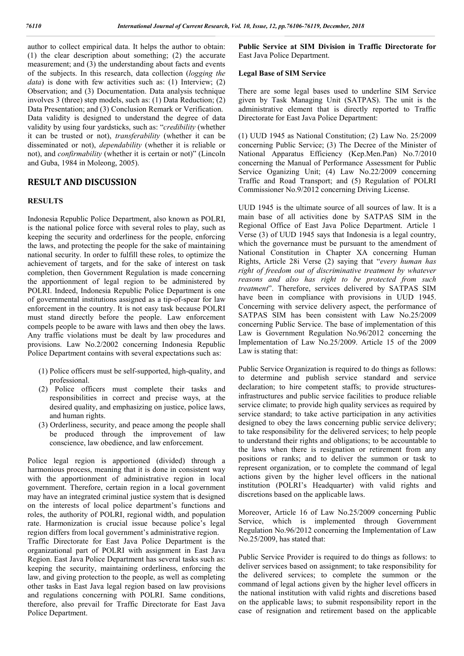author to collect empirical data. It helps the author to obtain: (1) the clear description about something; (2) the accurate measurement; and (3) the understanding about facts and events of the subjects. In this research, data collection (*logging the data*) is done with few activities such as: (1) Interview; (2) Observation; and (3) Documentation. Data analysis technique involves 3 (three) step models, such as: (1) Data Reduction; (2) Data Presentation; and (3) Conclusion Remark or Verification. Data validity is designed to understand the degree of data validity by using four yardsticks, such as: "*credibility* (whether it can be trusted or not), *transferability* (whether it can be disseminated or not), *dependability* (whether it is reliable or not), and *confirmability* (whether it is certain or not)" (Lincoln and Guba, 1984 in Moleong, 2005).

# **RESULT AND DISCUSSION**

# **RESULTS**

Indonesia Republic Police Department, also known as POLRI, is the national police force with several roles to play, such as keeping the security and orderliness for the people, enforcing the laws, and protecting the people for the sake of maintaining national security. In order to fulfill these roles, to optimize the achievement of targets, and for the sake of interest on task completion, then Government Regulation is made concerning the apportionment of legal region to be administered by POLRI. Indeed, Indonesia Republic Police Department is one of governmental institutions assigned as a tip-of-spear for law enforcement in the country. It is not easy task because POLRI must stand directly before the people. Law enforcement compels people to be aware with laws and then obey the laws. Any traffic violations must be dealt by law procedures and provisions. Law No.2/2002 concerning Indonesia Republic Police Department contains with several expectations such as:

- (1) Police officers must be self-supported, high-quality, and professional.
- (2) Police officers must complete their tasks and responsibilities in correct and precise ways, at the desired quality, and emphasizing on justice, police laws, and human rights.
- (3) Orderliness, security, and peace among the people shall be produced through the improvement of law conscience, law obedience, and law enforcement.

Police legal region is apportioned (divided) through a harmonious process, meaning that it is done in consistent way with the apportionment of administrative region in local government. Therefore, certain region in a local government may have an integrated criminal justice system that is designed on the interests of local police department's functions and roles, the authority of POLRI, regional width, and population rate. Harmonization is crucial issue because police's legal region differs from local government's administrative region.

Traffic Directorate for East Java Police Department is the organizational part of POLRI with assignment in East Java Region. East Java Police Department has several tasks such as: keeping the security, maintaining orderliness, enforcing the law, and giving protection to the people, as well as completing other tasks in East Java legal region based on law provisions and regulations concerning with POLRI. Same conditions, therefore, also prevail for Traffic Directorate for East Java Police Department.

**Public Service at SIM Division in Traffic Directorate for** East Java Police Department.

#### **Legal Base of SIM Service**

There are some legal bases used to underline SIM Service given by Task Managing Unit (SATPAS). The unit is the administrative element that is directly reported to Traffic Directorate for East Java Police Department:

(1) UUD 1945 as National Constitution; (2) Law No. 25/2009 concerning Public Service; (3) The Decree of the Minister of National Apparatus Efficiency (Kep.Men.Pan) No.7/2010 concerning the Manual of Performance Assessment for Public Service Oganizing Unit; (4) Law No.22/2009 concerning Traffic and Road Transport; and (5) Regulation of POLRI Commissioner No.9/2012 concerning Driving License.

UUD 1945 is the ultimate source of all sources of law. It is a main base of all activities done by SATPAS SIM in the Regional Office of East Java Police Department. Article 1 Verse (3) of UUD 1945 says that Indonesia is a legal country, which the governance must be pursuant to the amendment of National Constitution in Chapter XA concerning Human Rights, Article 28i Verse (2) saying that "*every human has right of freedom out of discriminative treatment by whatever reasons and also has right to be protected from such treatment*". Therefore, services delivered by SATPAS SIM have been in compliance with provisions in UUD 1945. Concerning with service delivery aspect, the performance of SATPAS SIM has been consistent with Law No.25/2009 concerning Public Service. The base of implementation of this Law is Government Regulation No.96/2012 concerning the Implementation of Law No.25/2009. Article 15 of the 2009 Law is stating that:

Public Service Organization is required to do things as follows: to determine and publish service standard and service declaration; to hire competent staffs; to provide structuresinfrastructures and public service facilities to produce reliable service climate; to provide high quality services as required by service standard; to take active participation in any activities designed to obey the laws concerning public service delivery; to take responsibility for the delivered services; to help people to understand their rights and obligations; to be accountable to the laws when there is resignation or retirement from any positions or ranks; and to deliver the summon or task to represent organization, or to complete the command of legal actions given by the higher level officers in the national institution (POLRI's Headquarter) with valid rights and discretions based on the applicable laws.

Moreover, Article 16 of Law No.25/2009 concerning Public Service, which is implemented through Government Regulation No.96/2012 concerning the Implementation of Law No.25/2009, has stated that:

Public Service Provider is required to do things as follows: to deliver services based on assignment; to take responsibility for the delivered services; to complete the summon or the command of legal actions given by the higher level officers in the national institution with valid rights and discretions based on the applicable laws; to submit responsibility report in the case of resignation and retirement based on the applicable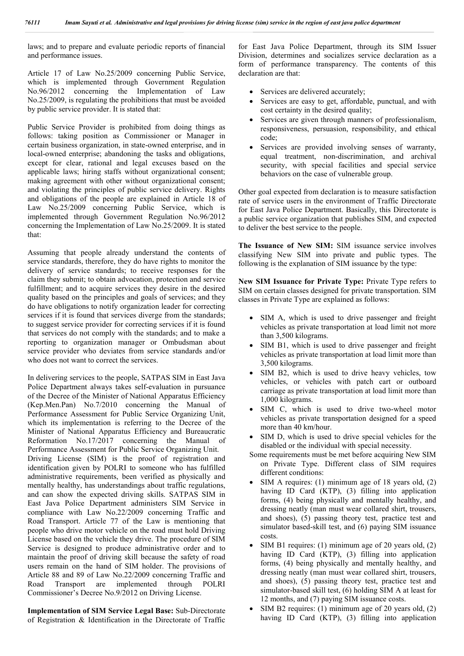laws; and to prepare and evaluate periodic reports of financial and performance issues.

Article 17 of Law No.25/2009 concerning Public Service, which is implemented through Government Regulation No.96/2012 concerning the Implementation of Law No.25/2009, is regulating the prohibitions that must be avoided by public service provider. It is stated that:

Public Service Provider is prohibited from doing things as follows: taking position as Commissioner or Manager in certain business organization, in state-owned enterprise, and in local-owned enterprise; abandoning the tasks and obligations, except for clear, rational and legal excuses based on the applicable laws; hiring staffs without organizational consent; making agreement with other without organizational consent; and violating the principles of public service delivery. Rights and obligations of the people are explained in Article 18 of Law No.25/2009 concerning Public Service, which is implemented through Government Regulation No.96/2012 concerning the Implementation of Law No.25/2009. It is stated that:

Assuming that people already understand the contents of service standards, therefore, they do have rights to monitor the delivery of service standards; to receive responses for the claim they submit; to obtain advocation, protection and service fulfillment; and to acquire services they desire in the desired quality based on the principles and goals of services; and they do have obligations to notify organization leader for correcting services if it is found that services diverge from the standards; to suggest service provider for correcting services if it is found that services do not comply with the standards; and to make a reporting to organization manager or Ombudsman about service provider who deviates from service standards and/or who does not want to correct the services.

In delivering services to the people, SATPAS SIM in East Java Police Department always takes self-evaluation in pursuance of the Decree of the Minister of National Apparatus Efficiency (Kep.Men.Pan) No.7/2010 concerning the Manual of Performance Assessment for Public Service Organizing Unit, which its implementation is referring to the Decree of the Minister of National Apparatus Efficiency and Bureaucratic Reformation No.17/2017 concerning the Manual of Performance Assessment for Public Service Organizing Unit. Driving License (SIM) is the proof of registration and identification given by POLRI to someone who has fulfilled administrative requirements, been verified as physically and mentally healthy, has understandings about traffic regulations, and can show the expected driving skills. SATPAS SIM in East Java Police Department administers SIM Service in compliance with Law No.22/2009 concerning Traffic and Road Transport. Article 77 of the Law is mentioning that people who drive motor vehicle on the road must hold Driving License based on the vehicle they drive. The procedure of SIM Service is designed to produce administrative order and to maintain the proof of driving skill because the safety of road users remain on the hand of SIM holder. The provisions of Article 88 and 89 of Law No.22/2009 concerning Traffic and Road Transport are implemented through POLRI Commissioner's Decree No.9/2012 on Driving License.

**Implementation of SIM Service Legal Base:** Sub-Directorate of Registration & Identification in the Directorate of Traffic

for East Java Police Department, through its SIM Issuer Division, determines and socializes service declaration as a form of performance transparency. The contents of this declaration are that:

- Services are delivered accurately;
- Services are easy to get, affordable, punctual, and with cost certainty in the desired quality;
- Services are given through manners of professionalism, responsiveness, persuasion, responsibility, and ethical code;
- Services are provided involving senses of warranty, equal treatment, non-discrimination, and archival security, with special facilities and special service behaviors on the case of vulnerable group.

Other goal expected from declaration is to measure satisfaction rate of service users in the environment of Traffic Directorate for East Java Police Department. Basically, this Directorate is a public service organization that publishes SIM, and expected to deliver the best service to the people.

The Issuance of New SIM: SIM issuance service involves classifying New SIM into private and public types. The following is the explanation of SIM issuance by the type:

**New SIM Issuance for Private Type:** Private Type refers to SIM on certain classes designed for private transportation. SIM classes in Private Type are explained as follows:

- SIM A, which is used to drive passenger and freight vehicles as private transportation at load limit not more than 3,500 kilograms.
- SIM B1, which is used to drive passenger and freight vehicles as private transportation at load limit more than 3,500 kilograms.
- SIM B2, which is used to drive heavy vehicles, tow vehicles, or vehicles with patch cart or outboard carriage as private transportation at load limit more than 1,000 kilograms.
- SIM C, which is used to drive two-wheel motor vehicles as private transportation designed for a speed more than 40 km/hour.
- SIM D, which is used to drive special vehicles for the disabled or the individual with special necessity.
- Some requirements must be met before acquiring New SIM on Private Type. Different class of SIM requires different conditions:
- SIM A requires: (1) minimum age of 18 years old, (2) having ID Card (KTP), (3) filling into application forms, (4) being physically and mentally healthy, and dressing neatly (man must wear collared shirt, trousers, and shoes), (5) passing theory test, practice test and simulator based-skill test, and (6) paying SIM issuance costs.
- SIM B1 requires: (1) minimum age of 20 years old, (2) having ID Card (KTP), (3) filling into application forms, (4) being physically and mentally healthy, and dressing neatly (man must wear collared shirt, trousers, and shoes), (5) passing theory test, practice test and simulator-based skill test, (6) holding SIM A at least for 12 months, and (7) paying SIM issuance costs.
- SIM B2 requires: (1) minimum age of 20 years old, (2) having ID Card (KTP), (3) filling into application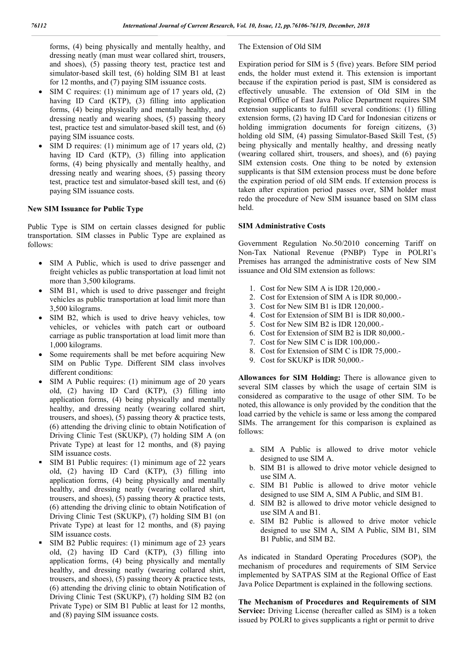forms, (4) being physically and mentally healthy, and dressing neatly (man must wear collared shirt, trousers, and shoes), (5) passing theory test, practice test and simulator-based skill test, (6) holding SIM B1 at least for 12 months, and (7) paying SIM issuance costs.

- SIM C requires: (1) minimum age of 17 years old, (2) having ID Card (KTP), (3) filling into application forms, (4) being physically and mentally healthy, and dressing neatly and wearing shoes, (5) passing theory test, practice test and simulator-based skill test, and (6) paying SIM issuance costs.
- SIM D requires: (1) minimum age of 17 years old, (2) having ID Card (KTP), (3) filling into application forms, (4) being physically and mentally healthy, and dressing neatly and wearing shoes, (5) passing theory test, practice test and simulator-based skill test, and (6) paying SIM issuance costs.

#### **New SIM Issuance for Public Type**

Public Type is SIM on certain classes designed for public transportation. SIM classes in Public Type are explained as follows:

- SIM A Public, which is used to drive passenger and freight vehicles as public transportation at load limit not more than 3,500 kilograms.
- SIM B1, which is used to drive passenger and freight vehicles as public transportation at load limit more than 3,500 kilograms.
- SIM B2, which is used to drive heavy vehicles, tow vehicles, or vehicles with patch cart or outboard carriage as public transportation at load limit more than 1,000 kilograms.
- Some requirements shall be met before acquiring New SIM on Public Type. Different SIM class involves different conditions:
- SIM A Public requires: (1) minimum age of 20 years old, (2) having ID Card (KTP), (3) filling into application forms, (4) being physically and mentally healthy, and dressing neatly (wearing collared shirt, trousers, and shoes), (5) passing theory & practice tests, (6) attending the driving clinic to obtain Notification of Driving Clinic Test (SKUKP), (7) holding SIM A (on Private Type) at least for 12 months, and (8) paying SIM issuance costs.
- SIM B1 Public requires: (1) minimum age of 22 years old, (2) having ID Card (KTP), (3) filling into application forms, (4) being physically and mentally healthy, and dressing neatly (wearing collared shirt, trousers, and shoes), (5) passing theory & practice tests, (6) attending the driving clinic to obtain Notification of Driving Clinic Test (SKUKP), (7) holding SIM B1 (on Private Type) at least for 12 months, and (8) paying SIM issuance costs.
- SIM B2 Public requires: (1) minimum age of 23 years old, (2) having ID Card (KTP), (3) filling into application forms, (4) being physically and mentally healthy, and dressing neatly (wearing collared shirt, trousers, and shoes), (5) passing theory & practice tests, (6) attending the driving clinic to obtain Notification of Driving Clinic Test (SKUKP), (7) holding SIM B2 (on Private Type) or SIM B1 Public at least for 12 months, and (8) paying SIM issuance costs.

#### The Extension of Old SIM

Expiration period for SIM is 5 (five) years. Before SIM period ends, the holder must extend it. This extension is important because if the expiration period is past, SIM is considered as effectively unusable. The extension of Old SIM in the Regional Office of East Java Police Department requires SIM extension supplicants to fulfill several conditions: (1) filling extension forms, (2) having ID Card for Indonesian citizens or holding immigration documents for foreign citizens, (3) holding old SIM, (4) passing Simulator-Based Skill Test, (5) being physically and mentally healthy, and dressing neatly (wearing collared shirt, trousers, and shoes), and (6) paying SIM extension costs. One thing to be noted by extension supplicants is that SIM extension process must be done before the expiration period of old SIM ends. If extension process is taken after expiration period passes over, SIM holder must redo the procedure of New SIM issuance based on SIM class held.

#### **SIM Administrative Costs**

Government Regulation No.50/2010 concerning Tariff on Non-Tax National Revenue (PNBP) Type in POLRI's Premises has arranged the administrative costs of New SIM issuance and Old SIM extension as follows:

- 1. Cost for New SIM A is IDR 120,000.-
- 2. Cost for Extension of SIM A is IDR 80,000.-
- 3. Cost for New SIM B1 is IDR 120,000.-
- 4. Cost for Extension of SIM B1 is IDR 80,000.-
- 5. Cost for New SIM B2 is IDR 120,000.-
- 6. Cost for Extension of SIM B2 is IDR 80,000.-
- 7. Cost for New SIM C is IDR 100,000.-
- 8. Cost for Extension of SIM C is IDR 75,000.-
- 9. Cost for SKUKP is IDR 50,000.-

**Allowances for SIM Holding:** There is allowance given to several SIM classes by which the usage of certain SIM is considered as comparative to the usage of other SIM. To be noted, this allowance is only provided by the condition that the load carried by the vehicle is same or less among the compared SIMs. The arrangement for this comparison is explained as follows:

- a. SIM A Public is allowed to drive motor vehicle designed to use SIM A.
- b. SIM B1 is allowed to drive motor vehicle designed to use SIM A.
- c. SIM B1 Public is allowed to drive motor vehicle designed to use SIM A, SIM A Public, and SIM B1.
- d. SIM B2 is allowed to drive motor vehicle designed to use SIM A and B1.
- e. SIM B2 Public is allowed to drive motor vehicle designed to use SIM A, SIM A Public, SIM B1, SIM B1 Public, and SIM B2.

As indicated in Standard Operating Procedures (SOP), the mechanism of procedures and requirements of SIM Service implemented by SATPAS SIM at the Regional Office of East Java Police Department is explained in the following sections.

**The Mechanism of Procedures and Requirements of SIM**  Service: Driving License (hereafter called as SIM) is a token issued by POLRI to gives supplicants a right or permit to drive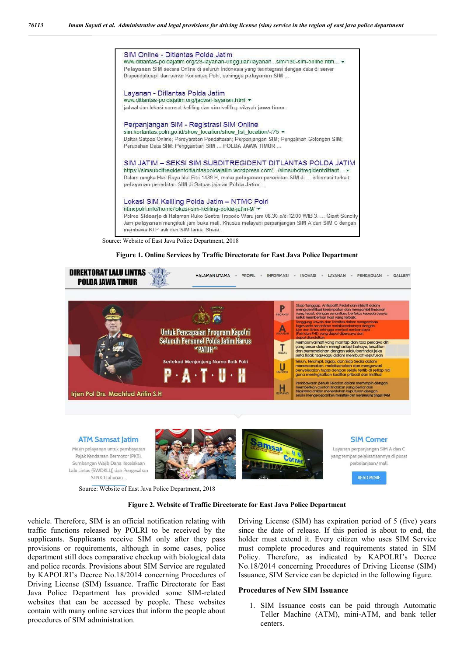

Source: Website of East Java Police Department, 2018

#### **Figure 1. Online Services by Traffic Directorate for East Java Police Department**



#### **Figure 2. Website of Traffic Directorate for East Java Police Department**

vehicle. Therefore, SIM is an official notification relating with traffic functions released by POLRI to be received by the supplicants. Supplicants receive SIM only after they pass provisions or requirements, although in some cases, police department still does comparative checkup with biological data and police records. Provisions about SIM Service are regulated by KAPOLRI's Decree No.18/2014 concerning Procedures of Driving License (SIM) Issuance. Traffic Directorate for East Java Police Department has provided some SIM-related websites that can be accessed by people. These websites contain with many online services that inform the people about procedures of SIM administration.

Driving License (SIM) has expiration period of 5 (five) years since the date of release. If this period is about to end, the holder must extend it. Every citizen who uses SIM Service must complete procedures and requirements stated in SIM Policy. Therefore, as indicated by KAPOLRI's Decree No.18/2014 concerning Procedures of Driving License (SIM) Issuance, SIM Service can be depicted in the following figure.

#### **Procedures of New SIM Issuance**

1. SIM Issuance costs can be paid through Automatic Teller Machine (ATM), mini-ATM, and bank teller centers.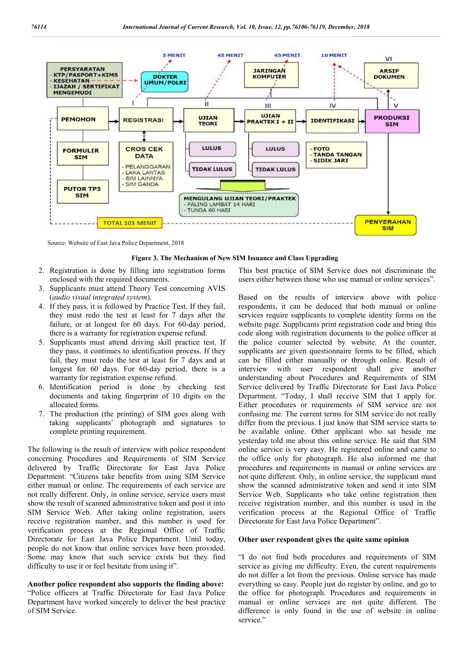

Source: Website of East Java Police Department, 2018

#### **Figure 3. The Mechanism of New SIM Issuance and Class Upgrading**

- 2. Registration is done by filling into registration forms enclosed with the required documents.
- 3. Supplicants must attend Theory Test concerning AVIS (*audio visual integrated system*).
- 4. If they pass, it is followed by Practice Test. If they fail, they must redo the test at least for 7 days after the failure, or at longest for 60 days. For 60-day period, there is a warranty for registration expense refund.
- 5. Supplicants must attend driving skill practice test. If they pass, it continues to identification process. If they fail, they must redo the test at least for 7 days and at longest for 60 days. For 60-day period, there is a warranty for registration expense refund.
- 6. Identification period is done by checking test documents and taking fingerprint of 10 digits on the allocated forms.
- 7. The production (the printing) of SIM goes along with taking supplicants' photograph and signatures to complete printing requirement.

The following is the result of interview with police respondent concerning Procedures and Requirements of SIM Service delivered by Traffic Directorate for East Java Police Department. "Citizens take benefits from using SIM Service either manual or online. The requirements of each service are not really different. Only, in online service, service users must show the result of scanned administrative token and post it into SIM Service Web. After taking online registration, users receive registration number, and this number is used for verification process at the Regional Office of Traffic Directorate for East Java Police Department. Until today, people do not know that online services have been provided. Some may know that such service exists but they find difficulty to use it or feel hesitate from using it".

#### **Another police respondent also supports the finding above:**

"Police officers at Traffic Directorate for East Java Police Department have worked sincerely to deliver the best practice of SIM Service.

This best practice of SIM Service does not discriminate the users either between those who use manual or online services".

Based on the results of interview above with police respondents, it can be deduced that both manual or online services require supplicants to complete identity forms on the website page. Supplicants print registration code and bring this code along with registration documents to the police officer at the police counter selected by website. At the counter, supplicants are given questionnaire forms to be filled, which can be filled either manually or through online. Result of interview with user respondent shall give another understanding about Procedures and Requirements of SIM Service delivered by Traffic Directorate for East Java Police Department. "Today, I shall receive SIM that I apply for. Either procedures or requirements of SIM service are not confusing me. The current terms for SIM service do not really differ from the previous. I just know that SIM service starts to be available online. Other applicant who sat beside me yesterday told me about this online service. He said that SIM online service is very easy. He registered online and came to the office only for photograph. He also informed me that procedures and requirements in manual or online services are not quite different. Only, in online service, the supplicant must show the scanned administrative token and send it into SIM Service Web. Supplicants who take online registration then receive registration number, and this number is used in the verification process at the Regional Office of Traffic Directorate for East Java Police Department".

#### **Other user respondent gives the quite same opinion**

"I do not find both procedures and requirements of SIM service as giving me difficulty. Even, the curent requirements do not differ a lot from the previous. Online service has made everything so easy. People just do register by online, and go to the office for photograph. Procedures and requirements in manual or online services are not quite different. The difference is only found in the use of website in online service."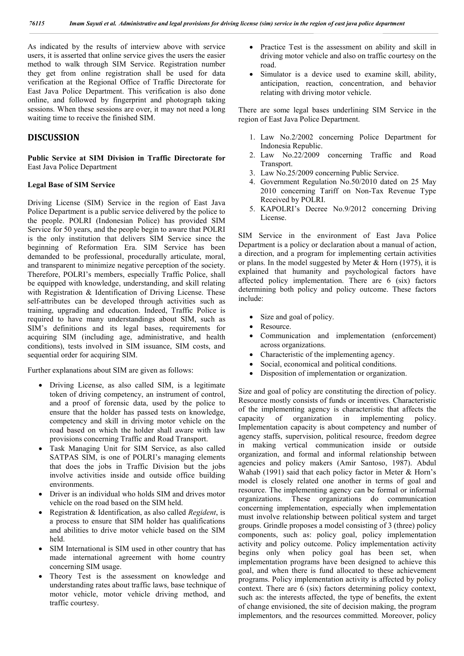As indicated by the results of interview above with service users, it is asserted that online service gives the users the easier method to walk through SIM Service. Registration number they get from online registration shall be used for data verification at the Regional Office of Traffic Directorate for East Java Police Department. This verification is also done online, and followed by fingerprint and photograph taking sessions. When these sessions are over, it may not need a long waiting time to receive the finished SIM.

# **DISCUSSION**

**Public Service at SIM Division in Traffic Directorate for** East Java Police Department

#### **Legal Base of SIM Service**

Driving License (SIM) Service in the region of East Java Police Department is a public service delivered by the police to the people. POLRI (Indonesian Police) has provided SIM Service for 50 years, and the people begin to aware that POLRI is the only institution that delivers SIM Service since the beginning of Reformation Era. SIM Service has been demanded to be professional, procedurally articulate, moral, and transparent to minimize negative perception of the society. Therefore, POLRI's members, especially Traffic Police, shall be equipped with knowledge, understanding, and skill relating with Registration & Identification of Driving License. These self-attributes can be developed through activities such as training, upgrading and education. Indeed, Traffic Police is required to have many understandings about SIM, such as SIM's definitions and its legal bases, requirements for acquiring SIM (including age, administrative, and health conditions), tests involved in SIM issuance, SIM costs, and sequential order for acquiring SIM.

Further explanations about SIM are given as follows:

- Driving License, as also called SIM, is a legitimate token of driving competency, an instrument of control, and a proof of forensic data, used by the police to ensure that the holder has passed tests on knowledge, competency and skill in driving motor vehicle on the road based on which the holder shall aware with law provisions concerning Traffic and Road Transport.
- Task Managing Unit for SIM Service, as also called SATPAS SIM, is one of POLRI's managing elements that does the jobs in Traffic Division but the jobs involve activities inside and outside office building environments.
- Driver is an individual who holds SIM and drives motor vehicle on the road based on the SIM held.
- Registration & Identification, as also called *Regident*, is a process to ensure that SIM holder has qualifications and abilities to drive motor vehicle based on the SIM held.
- SIM International is SIM used in other country that has made international agreement with home country concerning SIM usage.
- Theory Test is the assessment on knowledge and understanding rates about traffic laws, base technique of motor vehicle, motor vehicle driving method, and traffic courtesy.
- Practice Test is the assessment on ability and skill in driving motor vehicle and also on traffic courtesy on the road.
- Simulator is a device used to examine skill, ability, anticipation, reaction, concentration, and behavior relating with driving motor vehicle.

There are some legal bases underlining SIM Service in the region of East Java Police Department.

- 1. Law No.2/2002 concerning Police Department for Indonesia Republic.
- 2. Law No.22/2009 concerning Traffic and Road Transport.
- 3. Law No.25/2009 concerning Public Service.
- 4. Government Regulation No.50/2010 dated on 25 May 2010 concerning Tariff on Non-Tax Revenue Type Received by POLRI.
- 5. KAPOLRI's Decree No.9/2012 concerning Driving License.

SIM Service in the environment of East Java Police Department is a policy or declaration about a manual of action, a direction, and a program for implementing certain activities or plans. In the model suggested by Meter & Horn (1975), it is explained that humanity and psychological factors have affected policy implementation. There are 6 (six) factors determining both policy and policy outcome. These factors include:

- Size and goal of policy.
- Resource.
- Communication and implementation (enforcement) across organizations.
- Characteristic of the implementing agency.
- Social, economical and political conditions.
- Disposition of implementation or organization.

Size and goal of policy are constituting the direction of policy. Resource mostly consists of funds or incentives. Characteristic of the implementing agency is characteristic that affects the capacity of organization in implementing policy. Implementation capacity is about competency and number of agency staffs, supervision, political resource, freedom degree in making vertical communication inside or outside organization, and formal and informal relationship between agencies and policy makers (Amir Santoso, 1987). Abdul Wahab (1991) said that each policy factor in Meter & Horn's model is closely related one another in terms of goal and resource. The implementing agency can be formal or informal organizations. These organizations do communication concerning implementation, especially when implementation must involve relationship between political system and target groups. Grindle proposes a model consisting of 3 (three) policy components, such as: policy goal, policy implementation activity and policy outcome. Policy implementation activity begins only when policy goal has been set, when implementation programs have been designed to achieve this goal, and when there is fund allocated to these achievement programs. Policy implementation activity is affected by policy context. There are 6 (six) factors determining policy context, such as: the interests affected, the type of benefits, the extent of change envisioned, the site of decision making, the program implementors*,* and the resources committed*.* Moreover, policy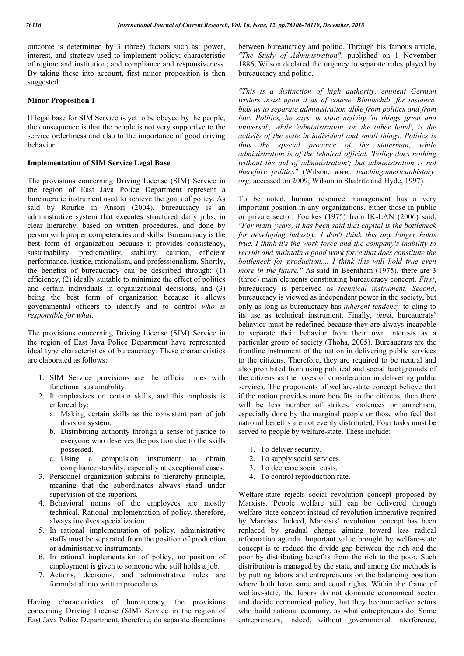outcome is determined by 3 (three) factors such as: power, interest, and strategy used to implement policy; characteristic of regime and institution; and compliance and responsiveness. By taking these into account, first minor proposition is then suggested:

#### **Minor Proposition 1**

If legal base for SIM Service is yet to be obeyed by the people, the consequence is that the people is not very supportive to the service orderliness and also to the importance of good driving behavior.

#### **Implementation of SIM Service Legal Base**

The provisions concerning Driving License (SIM) Service in the region of East Java Police Department represent a bureaucratic instrument used to achieve the goals of policy. As said by Rourke in Ansori (2004), bureaucracy is an administrative system that executes structured daily jobs, in clear hierarchy, based on written procedures, and done by person with proper competencies and skills. Bureaucracy is the best form of organization because it provides consistency, sustainability, predictability, stability, caution, efficient performance, justice, rationalism, and professionalism. Shortly, the benefits of bureaucracy can be described through: (1) efficiency, (2) ideally suitable to minimize the effect of politics and certain individuals in organizational decisions, and (3) being the best form of organization because it allows governmental officers to identify and to control *who is responsible for what*.

The provisions concerning Driving License (SIM) Service in the region of East Java Police Department have represented ideal type characteristics of bureaucracy. These characteristics are elaborated as follows:

- 1. SIM Service provisions are the official rules with functional sustainability.
- 2. It emphasizes on certain skills, and this emphasis is enforced by:
	- a. Making certain skills as the consistent part of job division system.
	- b. Distributing authority through a sense of justice to everyone who deserves the position due to the skills possessed.
	- c. Using a compulsion instrument to obtain compliance stability, especially at exceptional cases.
- 3. Personnel organization submits to hierarchy principle, meaning that the subordinates always stand under supervision of the superiors.
- 4. Behavioral norms of the employees are mostly technical. Rational implementation of policy, therefore, always involves specialization.
- 5. In rational implementation of policy, administrative staffs must be separated from the position of production or administrative instruments.
- 6. In rational implementation of policy, no position of employment is given to someone who still holds a job.
- 7. Actions, decisions, and administrative rules are formulated into written procedures.

Having characteristics of bureaucracy, the provisions concerning Driving License (SIM) Service in the region of East Java Police Department, therefore, do separate discretions between bureaucracy and politic. Through his famous article, *"The Study of Administration"*, published on 1 November 1886, Wilson declared the urgency to separate roles played by bureaucracy and politic.

*"This is a distinction of high authority, eminent German writers insist upon it as of course. Bluntschili, for instance, bids us to separate administration alike from politics and from law. Politics, he says, is state activity 'in things great and universal', while 'administration, on the other hand', is the activity of the state in individual and small things. Politics is thus the special province of the statesman, while administration is of the tehnical official. 'Policy does nothing without the aid of administration'; but administration is not therefore politics"* (Wilson, *www. teachingamericanhistory. org,* accessed on 2009; Wilson in Shafritz and Hyde, 1997).

To be noted, human resource management has a very important position in any organizations, either those in public or private sector. Foulkes (1975) from IK-LAN (2006) said, *"For many years, it has been said that capital is the bottleneck for developing industry. I don't think this any longer holds true. I think it's the work force and the company's inability to recruit and maintain a good work force that does constitute the bottleneck for production.... I think this will hold true even more in the future."* As said in Beentham (1975), there are 3 (three) main elements constituting bureaucracy concept. *First*, bureaucracy is perceived as *technical instrument*. *Second*, bureaucracy is viewed as independent power in the society, but only as long as bureaucracy has *inherent tendency* to cling to its use as technical instrument. Finally, *third*, bureaucrats' behavior must be redefined because they are always incapable to separate their behavior from their own interests as a particular group of society (Thoha, 2005). Bureaucrats are the frontline instrument of the nation in delivering public services to the citizens. Therefore, they are required to be neutral and also prohibited from using political and social backgrounds of the citizens as the bases of consideration in delivering public services. The proponents of welfare-state concept believe that if the nation provides more benefits to the citizens, then there will be less number of strikes, violences or anarchism, especially done by the marginal people or those who feel that national benefits are not evenly distributed. Four tasks must be served to people by welfare-state. These include:

- 1. To deliver security.
- 2. To supply social services.
- 3. To decrease social costs.
- 4. To control reproduction rate.

Welfare-state rejects social revolution concept proposed by Marxists. People welfare still can be delivered through welfare-state concept instead of revolution imperative required by Marxists. Indeed, Marxists' revolution concept has been replaced by gradual change aiming toward less radical reformation agenda. Important value brought by welfare-state concept is to reduce the divide gap between the rich and the poor by distributing benefits from the rich to the poor. Such distribution is managed by the state, and among the methods is by putting labors and entrepreneurs on the balancing position where both have same and equal rights. Within the frame of welfare-state, the labors do not dominate economical sector and decide economical policy, but they become active actors who build national economy, as what entrepreneurs do. Some entrepreneurs, indeed, without governmental interference,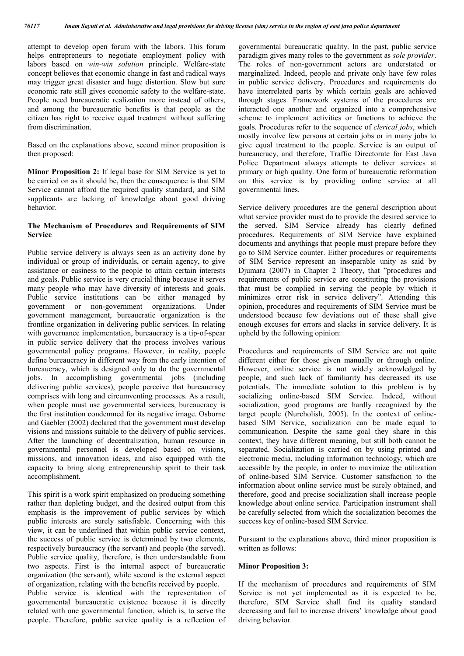attempt to develop open forum with the labors. This forum helps entrepreneurs to negotiate employment policy with labors based on *win-win solution* principle. Welfare-state concept believes that economic change in fast and radical ways may trigger great disaster and huge distortion. Slow but sure economic rate still gives economic safety to the welfare-state. People need bureaucratic realization more instead of others, and among the bureaucratic benefits is that people as the citizen has right to receive equal treatment without suffering from discrimination.

Based on the explanations above, second minor proposition is then proposed:

**Minor Proposition 2:** If legal base for SIM Service is yet to be carried on as it should be, then the consequence is that SIM Service cannot afford the required quality standard, and SIM supplicants are lacking of knowledge about good driving behavior.

#### **The Mechanism of Procedures and Requirements of SIM Service**

Public service delivery is always seen as an activity done by individual or group of individuals, or certain agency, to give assistance or easiness to the people to attain certain interests and goals. Public service is very crucial thing because it serves many people who may have diversity of interests and goals. Public service institutions can be either managed by government or non-government organizations. Under government management, bureaucratic organization is the frontline organization in delivering public services. In relating with governance implementation, bureaucracy is a tip-of-spear in public service delivery that the process involves various governmental policy programs. However, in reality, people define bureaucracy in different way from the early intention of bureaucracy, which is designed only to do the governmental jobs. In accomplishing governmental jobs (including delivering public services), people perceive that bureaucracy comprises with long and circumventing processes. As a result, when people must use governmental services, bureaucracy is the first institution condemned for its negative image. Osborne and Gaebler (2002) declared that the government must develop visions and missions suitable to the delivery of public services. After the launching of decentralization, human resource in governmental personnel is developed based on visions, missions, and innovation ideas, and also equipped with the capacity to bring along entrepreneurship spirit to their task accomplishment.

This spirit is a work spirit emphasized on producing something rather than depleting budget, and the desired output from this emphasis is the improvement of public services by which public interests are surely satisfiable. Concerning with this view, it can be underlined that within public service context, the success of public service is determined by two elements, respectively bureaucracy (the servant) and people (the served). Public service quality, therefore, is then understandable from two aspects. First is the internal aspect of bureaucratic organization (the servant), while second is the external aspect of organization, relating with the benefits received by people. Public service is identical with the representation of governmental bureaucratic existence because it is directly related with one governmental function, which is, to serve the people. Therefore, public service quality is a reflection of governmental bureaucratic quality. In the past, public service paradigm gives many roles to the government as *sole provider*. The roles of non-government actors are understated or marginalized. Indeed, people and private only have few roles in public service delivery. Procedures and requirements do have interrelated parts by which certain goals are achieved through stages. Framework systems of the procedures are interacted one another and organized into a comprehensive scheme to implement activities or functions to achieve the goals. Procedures refer to the sequence of *clerical jobs*, which mostly involve few persons at certain jobs or in many jobs to give equal treatment to the people. Service is an output of bureaucracy, and therefore, Traffic Directorate for East Java Police Department always attempts to deliver services at primary or high quality. One form of bureaucratic reformation on this service is by providing online service at all governmental lines.

Service delivery procedures are the general description about what service provider must do to provide the desired service to the served. SIM Service already has clearly defined procedures. Requirements of SIM Service have explained documents and anythings that people must prepare before they go to SIM Service counter. Either procedures or requirements of SIM Service represent an inseparable unity as said by Djumara (2007) in Chapter 2 Theory, that "procedures and requirements of public service are constituting the provisions that must be complied in serving the people by which it minimizes error risk in service delivery". Attending this opinion, procedures and requirements of SIM Service must be understood because few deviations out of these shall give enough excuses for errors and slacks in service delivery. It is upheld by the following opinion:

Procedures and requirements of SIM Service are not quite different either for those given manually or through online. However, online service is not widely acknowledged by people, and such lack of familiarity has decreased its use potentials. The immediate solution to this problem is by socializing online-based SIM Service. Indeed, without socialization, good programs are hardly recognized by the target people (Nurcholish, 2005). In the context of onlinebased SIM Service, socialization can be made equal to communication. Despite the same goal they share in this context, they have different meaning, but still both cannot be separated. Socialization is carried on by using printed and electronic media, including information technology, which are accessible by the people, in order to maximize the utilization of online-based SIM Service. Customer satisfaction to the information about online service must be surely obtained, and therefore, good and precise socialization shall increase people knowledge about online service. Participation instrument shall be carefully selected from which the socialization becomes the success key of online-based SIM Service.

Pursuant to the explanations above, third minor proposition is written as follows:

### **Minor Proposition 3:**

If the mechanism of procedures and requirements of SIM Service is not yet implemented as it is expected to be, therefore, SIM Service shall find its quality standard decreasing and fail to increase drivers' knowledge about good driving behavior.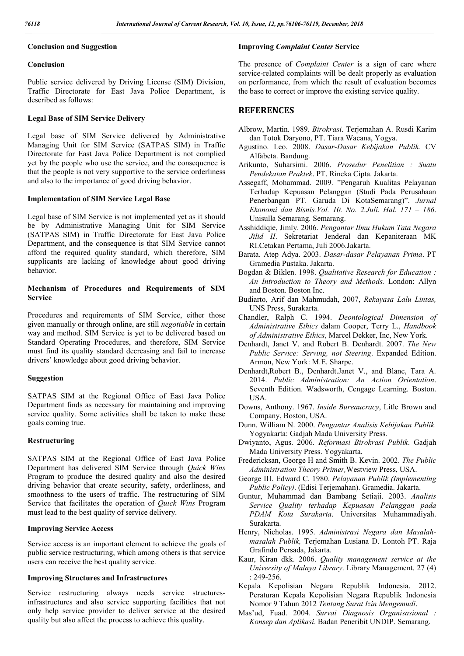# **Conclusion and Suggestion**

# **Conclusion**

Public service delivered by Driving License (SIM) Division, Traffic Directorate for East Java Police Department, is described as follows:

# **Legal Base of SIM Service Delivery**

Legal base of SIM Service delivered by Administrative Managing Unit for SIM Service (SATPAS SIM) in Traffic Directorate for East Java Police Department is not complied yet by the people who use the service, and the consequence is that the people is not very supportive to the service orderliness and also to the importance of good driving behavior.

# **Implementation of SIM Service Legal Base**

Legal base of SIM Service is not implemented yet as it should be by Administrative Managing Unit for SIM Service (SATPAS SIM) in Traffic Directorate for East Java Police Department, and the consequence is that SIM Service cannot afford the required quality standard, which therefore, SIM supplicants are lacking of knowledge about good driving behavior.

# **Mechanism of Procedures and Requirements of SIM Service**

Procedures and requirements of SIM Service, either those given manually or through online, are still *negotiable* in certain way and method. SIM Service is yet to be delivered based on Standard Operating Procedures, and therefore, SIM Service must find its quality standard decreasing and fail to increase drivers' knowledge about good driving behavior.

# **Suggestion**

SATPAS SIM at the Regional Office of East Java Police Department finds as necessary for maintaining and improving service quality. Some activities shall be taken to make these goals coming true.

# **Restructuring**

SATPAS SIM at the Regional Office of East Java Police Department has delivered SIM Service through *Quick Wins*  Program to produce the desired quality and also the desired driving behavior that create security, safety, orderliness, and smoothness to the users of traffic. The restructuring of SIM Service that facilitates the operation of *Quick Wins* Program must lead to the best quality of service delivery.

# **Improving Service Access**

Service access is an important element to achieve the goals of public service restructuring, which among others is that service users can receive the best quality service.

# **Improving Structures and Infrastructures**

Service restructuring always needs service structuresinfrastructures and also service supporting facilities that not only help service provider to deliver service at the desired quality but also affect the process to achieve this quality.

# **Improving** *Complaint Center* **Service**

The presence of *Complaint Center* is a sign of care where service-related complaints will be dealt properly as evaluation on performance, from which the result of evaluation becomes the base to correct or improve the existing service quality.

# **REFERENCES**

- Albrow, Martin. 1989. *Birokrasi*. Terjemahan A. Rusdi Karim dan Totok Daryono, PT. Tiara Wacana, Yogya.
- Agustino. Leo. 2008. *Dasar-Dasar Kebijakan Publik.* CV Alfabeta. Bandung.
- Arikunto, Suharsimi. 2006. *Prosedur Penelitian : Suatu Pendekatan Praktek*. PT. Rineka Cipta. Jakarta.
- Assegaff, Mohammad. 2009. "Pengaruh Kualitas Pelayanan Terhadap Kepuasan Pelanggan (Studi Pada Perusahaan Penerbangan PT. Garuda Di KotaSemarang)". *Jurnal Ekonomi dan Bisnis.Vol. 10. No. 2.Juli. Hal. 171 – 186*. Unisulla Semarang. Semarang.
- Asshiddiqie, Jimly. 2006. *Pengantar Ilmu Hukum Tata Negara Jilid II*. Sekretariat Jenderal dan Kepaniteraan MK RI.Cetakan Pertama, Juli 2006.Jakarta.
- Barata. Atep Adya. 2003. *Dasar-dasar Pelayanan Prima*. PT Gramedia Pustaka. Jakarta.
- Bogdan & Biklen. 1998. *Qualitative Research for Education : An Introduction to Theory and Methods.* London: Allyn and Boston. Boston Inc.
- Budiarto, Arif dan Mahmudah, 2007, *Rekayasa Lalu Lintas,*  UNS Press, Surakarta.
- Chandler, Ralph C. 1994. *Deontological Dimension of Administrative Ethics* dalam Cooper, Terry L., *Handbook of Administrative Ethics*, Marcel Dekker, Inc, New York.
- Denhardt, Janet V. and Robert B. Denhardt. 2007. *The New Public Service: Serving, not Steering*. Expanded Edition. Armon, New York: M.E. Sharpe.
- Denhardt,Robert B., Denhardt.Janet V., and Blanc, Tara A. 2014. *Public Administration: An Action Orientation*. Seventh Edition. Wadsworth, Cengage Learning. Boston. USA.
- Downs, Anthony. 1967. *Inside Bureaucracy*, Litle Brown and Company, Boston, USA.
- Dunn. William N. 2000. *Pengantar Analisis Kebijakan Publik.*  Yogyakarta: Gadjah Mada University Press.
- Dwiyanto, Agus. 2006. *Reformasi Birokrasi Publik*. Gadjah Mada University Press. Yogyakarta.
- Fredericksan, George H and Smith B. Kevin. 2002. *The Public Administration Theory Primer,*Westview Press, USA.
- George III. Edward C. 1980. *Pelayanan Publik (Implementing Public Policy)*. (Edisi Terjemahan). Gramedia. Jakarta.
- Guntur, Muhammad dan Bambang Setiaji. 2003. *Analisis Service Quality terhadap Kepuasan Pelanggan pada PDAM Kota Surakarta*. Universitas Muhammadiyah. Surakarta.
- Henry, Nicholas. 1995. *Administrasi Negara dan Masalahmasalah Publik,* Terjemahan Lusiana D. Lontoh PT. Raja Grafindo Persada, Jakarta.
- Kaur, Kiran dkk. 2006. *Quality management service at the University of Malaya Library*. Library Management. 27 (4) : 249-256.
- Kepala Kepolisian Negara Republik Indonesia. 2012. Peraturan Kepala Kepolisian Negara Republik Indonesia Nomor 9 Tahun 2012 *Tentang Surat Izin Mengemudi*.
- Mas'ud, Fuad. 2004*. Survai Diagnosis Organisasional : Konsep dan Aplikasi*. Badan Peneribit UNDIP. Semarang.